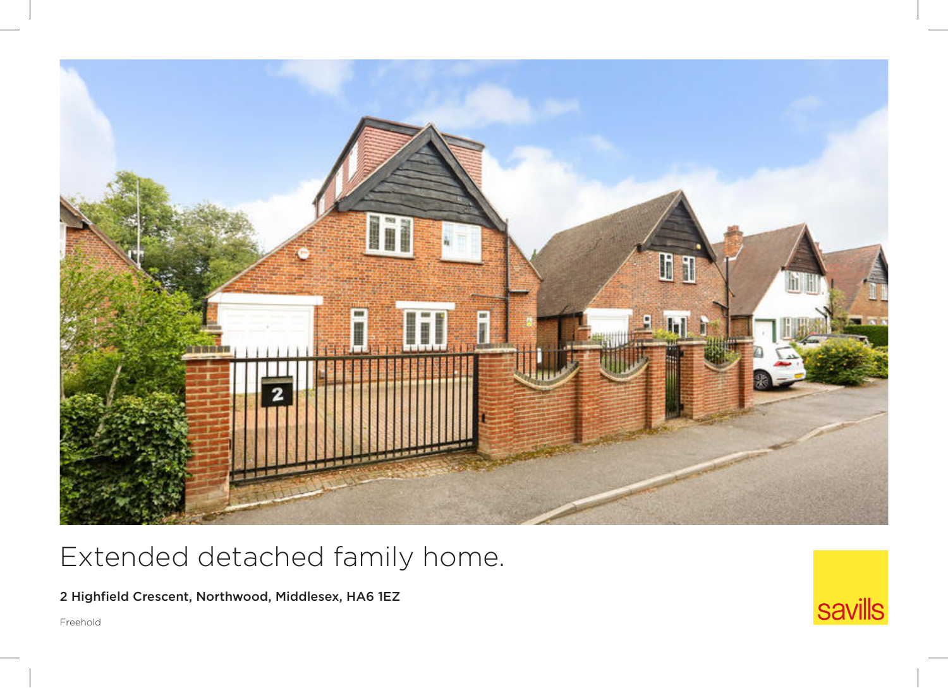

# Extended detached family home.

2 Highfield Crescent, Northwood, Middlesex, HA6 1EZ

Freehold

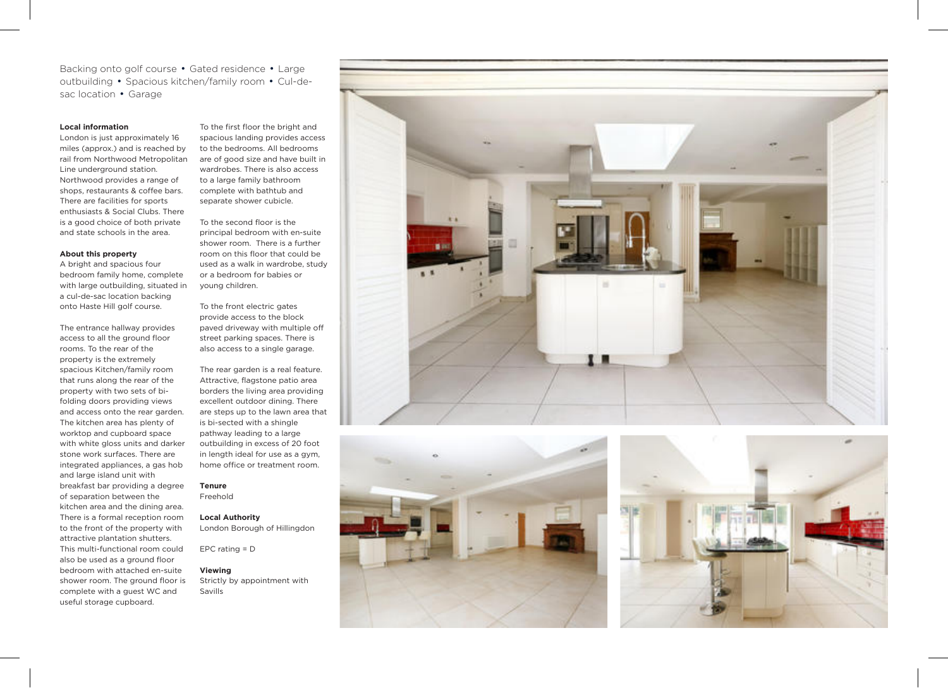Backing onto golf course • Gated residence • Large outbuilding • Spacious kitchen/family room • Cul-desac location • Garage

### **Local information**

London is just approximately 16 miles (approx.) and is reached by rail from Northwood Metropolitan Line underground station. Northwood provides a range of shops, restaurants & coffee bars. There are facilities for sports enthusiasts & Social Clubs. There is a good choice of both private and state schools in the area.

### **About this property**

A bright and spacious four bedroom family home, complete with large outbuilding, situated in a cul-de-sac location backing onto Haste Hill golf course.

The entrance hallway provides access to all the ground floor rooms. To the rear of the property is the extremely spacious Kitchen/family room that runs along the rear of the property with two sets of bifolding doors providing views and access onto the rear garden. The kitchen area has plenty of worktop and cupboard space with white gloss units and darker stone work surfaces. There are integrated appliances, a gas hob and large island unit with breakfast bar providing a degree of separation between the kitchen area and the dining area. There is a formal reception room to the front of the property with attractive plantation shutters. This multi-functional room could also be used as a ground floor bedroom with attached en-suite shower room. The ground floor is complete with a guest WC and useful storage cupboard.

To the first floor the bright and spacious landing provides access to the bedrooms. All bedrooms are of good size and have built in wardrobes. There is also access to a large family bathroom complete with bathtub and separate shower cubicle.

To the second floor is the principal bedroom with en-suite shower room. There is a further room on this floor that could be used as a walk in wardrobe, study or a bedroom for babies or young children.

To the front electric gates provide access to the block paved driveway with multiple off street parking spaces. There is also access to a single garage.

The rear garden is a real feature. Attractive, flagstone patio area borders the living area providing excellent outdoor dining. There are steps up to the lawn area that is bi-sected with a shingle pathway leading to a large outbuilding in excess of 20 foot in length ideal for use as a gym, home office or treatment room.

## **Tenure**

Freehold

### **Local Authority** London Borough of Hillingdon

EPC rating = D

**Viewing** Strictly by appointment with Savills





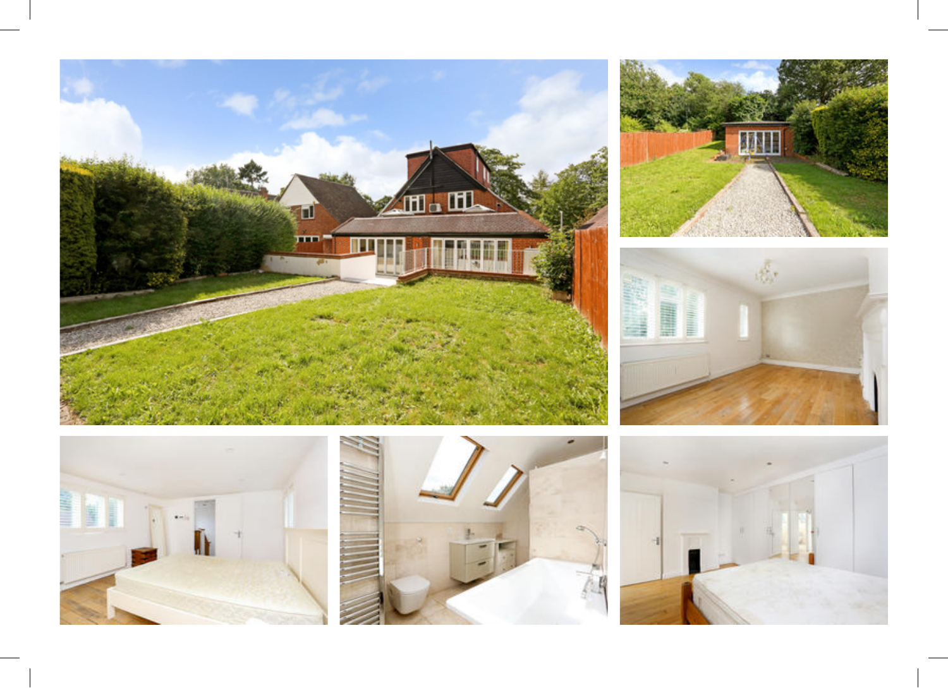

![](_page_2_Picture_1.jpeg)

![](_page_2_Picture_2.jpeg)

![](_page_2_Picture_3.jpeg)